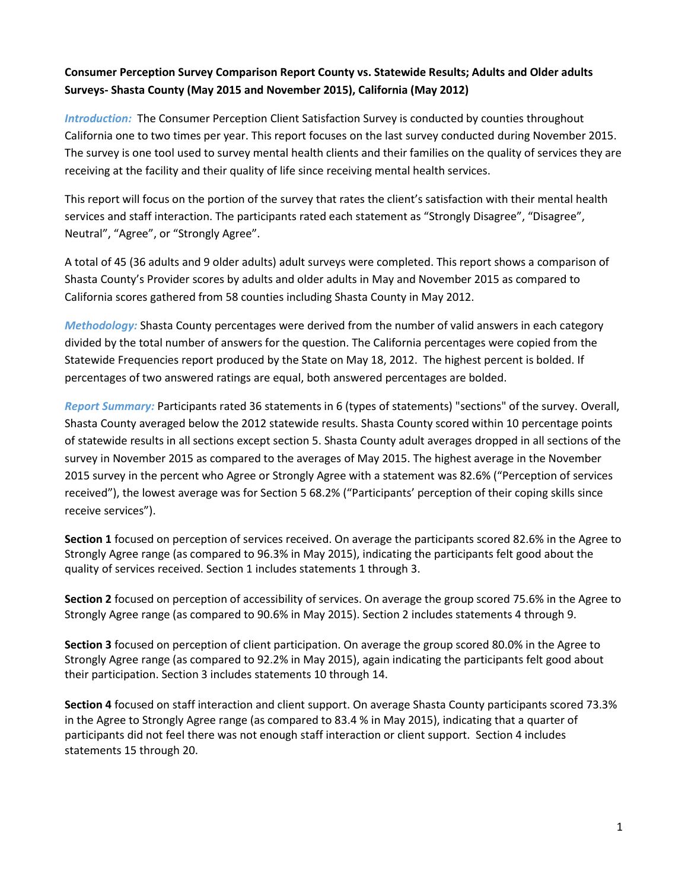# **Consumer Perception Survey Comparison Report County vs. Statewide Results; Adults and Older adults Surveys- Shasta County (May 2015 and November 2015), California (May 2012)**

*Introduction:* The Consumer Perception Client Satisfaction Survey is conducted by counties throughout California one to two times per year. This report focuses on the last survey conducted during November 2015. The survey is one tool used to survey mental health clients and their families on the quality of services they are receiving at the facility and their quality of life since receiving mental health services.

This report will focus on the portion of the survey that rates the client's satisfaction with their mental health services and staff interaction. The participants rated each statement as "Strongly Disagree", "Disagree", Neutral", "Agree", or "Strongly Agree".

A total of 45 (36 adults and 9 older adults) adult surveys were completed. This report shows a comparison of Shasta County's Provider scores by adults and older adults in May and November 2015 as compared to California scores gathered from 58 counties including Shasta County in May 2012.

*Methodology:* Shasta County percentages were derived from the number of valid answers in each category divided by the total number of answers for the question. The California percentages were copied from the Statewide Frequencies report produced by the State on May 18, 2012. The highest percent is bolded. If percentages of two answered ratings are equal, both answered percentages are bolded.

*Report Summary:* Participants rated 36 statements in 6 (types of statements) "sections" of the survey. Overall, Shasta County averaged below the 2012 statewide results. Shasta County scored within 10 percentage points of statewide results in all sections except section 5. Shasta County adult averages dropped in all sections of the survey in November 2015 as compared to the averages of May 2015. The highest average in the November 2015 survey in the percent who Agree or Strongly Agree with a statement was 82.6% ("Perception of services received"), the lowest average was for Section 5 68.2% ("Participants' perception of their coping skills since receive services").

**Section 1** focused on perception of services received. On average the participants scored 82.6% in the Agree to Strongly Agree range (as compared to 96.3% in May 2015), indicating the participants felt good about the quality of services received. Section 1 includes statements 1 through 3.

**Section 2** focused on perception of accessibility of services. On average the group scored 75.6% in the Agree to Strongly Agree range (as compared to 90.6% in May 2015). Section 2 includes statements 4 through 9.

**Section 3** focused on perception of client participation. On average the group scored 80.0% in the Agree to Strongly Agree range (as compared to 92.2% in May 2015), again indicating the participants felt good about their participation. Section 3 includes statements 10 through 14.

**Section 4** focused on staff interaction and client support. On average Shasta County participants scored 73.3% in the Agree to Strongly Agree range (as compared to 83.4 % in May 2015), indicating that a quarter of participants did not feel there was not enough staff interaction or client support. Section 4 includes statements 15 through 20.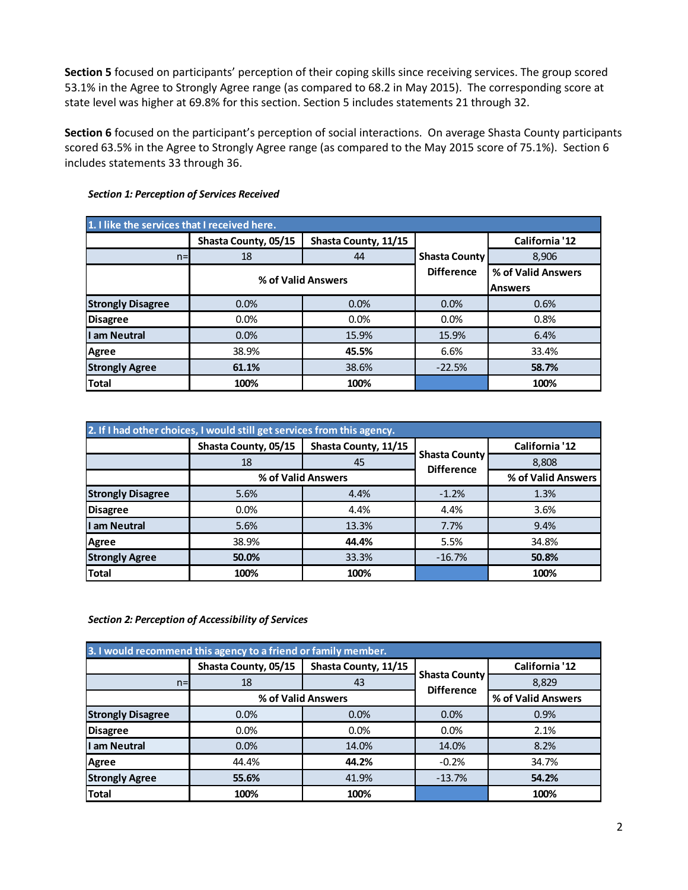**Section 5** focused on participants' perception of their coping skills since receiving services. The group scored 53.1% in the Agree to Strongly Agree range (as compared to 68.2 in May 2015). The corresponding score at state level was higher at 69.8% for this section. Section 5 includes statements 21 through 32.

**Section 6** focused on the participant's perception of social interactions. On average Shasta County participants scored 63.5% in the Agree to Strongly Agree range (as compared to the May 2015 score of 75.1%). Section 6 includes statements 33 through 36.

| 1. I like the services that I received here. |                      |                      |                      |                    |  |
|----------------------------------------------|----------------------|----------------------|----------------------|--------------------|--|
|                                              | Shasta County, 05/15 | Shasta County, 11/15 |                      | California '12     |  |
| $n=$                                         | 18                   | 44                   | <b>Shasta County</b> | 8,906              |  |
|                                              | % of Valid Answers   |                      | <b>Difference</b>    | % of Valid Answers |  |
|                                              |                      |                      |                      | <b>Answers</b>     |  |
| <b>Strongly Disagree</b>                     | 0.0%                 | 0.0%                 | 0.0%                 | 0.6%               |  |
| <b>Disagree</b>                              | 0.0%                 | 0.0%                 | 0.0%                 | 0.8%               |  |
| I am Neutral                                 | 0.0%                 | 15.9%                | 15.9%                | 6.4%               |  |
| <b>Agree</b>                                 | 38.9%                | 45.5%                | 6.6%                 | 33.4%              |  |
| <b>Strongly Agree</b>                        | 61.1%                | 38.6%                | $-22.5%$             | 58.7%              |  |
| <b>Total</b>                                 | 100%                 | 100%                 |                      | 100%               |  |

#### *Section 1: Perception of Services Received*

| 2. If I had other choices, I would still get services from this agency. |                      |                      |                                           |                    |  |
|-------------------------------------------------------------------------|----------------------|----------------------|-------------------------------------------|--------------------|--|
|                                                                         | Shasta County, 05/15 | Shasta County, 11/15 |                                           | California '12     |  |
|                                                                         | 18                   | 45                   | <b>Shasta County</b><br><b>Difference</b> | 8,808              |  |
|                                                                         |                      | % of Valid Answers   |                                           | % of Valid Answers |  |
| <b>Strongly Disagree</b>                                                | 5.6%                 | 4.4%                 | $-1.2%$                                   | 1.3%               |  |
| <b>Disagree</b>                                                         | $0.0\%$              | 4.4%                 | 4.4%                                      | 3.6%               |  |
| I am Neutral                                                            | 5.6%                 | 13.3%                | 7.7%                                      | 9.4%               |  |
| Agree                                                                   | 38.9%                | 44.4%                | 5.5%                                      | 34.8%              |  |
| <b>Strongly Agree</b>                                                   | 50.0%                | 33.3%                | $-16.7%$                                  | 50.8%              |  |
| <b>Total</b>                                                            | 100%                 | 100%                 |                                           | 100%               |  |

*Section 2: Perception of Accessibility of Services*

| 3. I would recommend this agency to a friend or family member. |                      |                      |                                           |                    |  |
|----------------------------------------------------------------|----------------------|----------------------|-------------------------------------------|--------------------|--|
|                                                                | Shasta County, 05/15 | Shasta County, 11/15 |                                           | California '12     |  |
| $n=$                                                           | 18                   | 43                   | <b>Shasta County</b><br><b>Difference</b> | 8,829              |  |
|                                                                |                      | % of Valid Answers   |                                           | % of Valid Answers |  |
| <b>Strongly Disagree</b>                                       | 0.0%                 | 0.0%                 | 0.0%                                      | 0.9%               |  |
| <b>Disagree</b>                                                | 0.0%                 | $0.0\%$              | 0.0%                                      | 2.1%               |  |
| I am Neutral                                                   | 0.0%                 | 14.0%                | 14.0%                                     | 8.2%               |  |
| Agree                                                          | 44.4%                | 44.2%                | $-0.2%$                                   | 34.7%              |  |
| <b>Strongly Agree</b>                                          | 55.6%                | 41.9%                | $-13.7%$                                  | 54.2%              |  |
| <b>Total</b>                                                   | 100%                 | 100%                 |                                           | 100%               |  |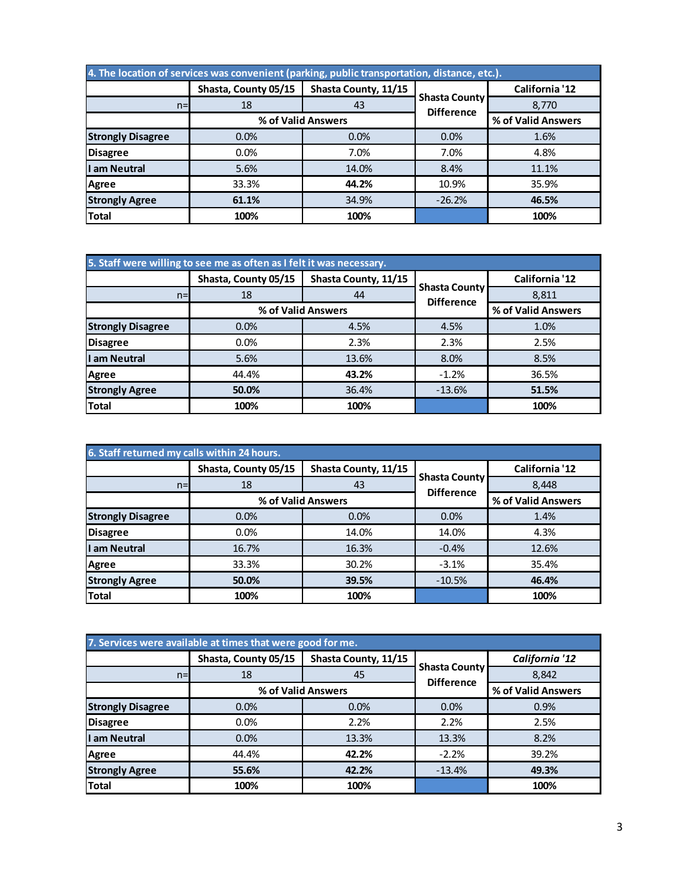| 4. The location of services was convenient (parking, public transportation, distance, etc.). |                      |                      |                      |                    |  |
|----------------------------------------------------------------------------------------------|----------------------|----------------------|----------------------|--------------------|--|
|                                                                                              | Shasta, County 05/15 | Shasta County, 11/15 |                      | California '12     |  |
| $n=$                                                                                         | 18                   | 43                   | <b>Shasta County</b> | 8,770              |  |
|                                                                                              |                      | % of Valid Answers   | <b>Difference</b>    | % of Valid Answers |  |
| <b>Strongly Disagree</b>                                                                     | 0.0%                 | 0.0%                 | 0.0%                 | 1.6%               |  |
| <b>Disagree</b>                                                                              | 0.0%                 | 7.0%                 | 7.0%                 | 4.8%               |  |
| I am Neutral                                                                                 | 5.6%                 | 14.0%                | 8.4%                 | 11.1%              |  |
| <b>Agree</b>                                                                                 | 33.3%                | 44.2%                | 10.9%                | 35.9%              |  |
| <b>Strongly Agree</b>                                                                        | 61.1%                | 34.9%                | $-26.2%$             | 46.5%              |  |
| <b>Total</b>                                                                                 | 100%                 | 100%                 |                      | 100%               |  |

| 5. Staff were willing to see me as often as I felt it was necessary. |                      |                      |                                           |                    |  |
|----------------------------------------------------------------------|----------------------|----------------------|-------------------------------------------|--------------------|--|
|                                                                      | Shasta, County 05/15 | Shasta County, 11/15 |                                           | California '12     |  |
| $n =$                                                                | 18                   | 44                   | <b>Shasta County</b><br><b>Difference</b> | 8,811              |  |
|                                                                      |                      | % of Valid Answers   |                                           | % of Valid Answers |  |
| <b>Strongly Disagree</b>                                             | 0.0%                 | 4.5%                 | 4.5%                                      | 1.0%               |  |
| <b>Disagree</b>                                                      | $0.0\%$              | 2.3%                 | 2.3%                                      | 2.5%               |  |
| I am Neutral                                                         | 5.6%                 | 13.6%                | 8.0%                                      | 8.5%               |  |
| <b>Agree</b>                                                         | 44.4%                | 43.2%                | $-1.2%$                                   | 36.5%              |  |
| <b>Strongly Agree</b>                                                | 50.0%                | 36.4%                | $-13.6%$                                  | 51.5%              |  |
| <b>Total</b>                                                         | 100%                 | 100%                 |                                           | 100%               |  |

| 6. Staff returned my calls within 24 hours. |                      |                      |                                           |                    |  |
|---------------------------------------------|----------------------|----------------------|-------------------------------------------|--------------------|--|
|                                             | Shasta, County 05/15 | Shasta County, 11/15 |                                           | California '12     |  |
| $n =$                                       | 18                   | 43                   | <b>Shasta County</b><br><b>Difference</b> | 8,448              |  |
|                                             |                      | % of Valid Answers   |                                           | % of Valid Answers |  |
| <b>Strongly Disagree</b>                    | 0.0%                 | 0.0%                 | 0.0%                                      | 1.4%               |  |
| <b>Disagree</b>                             | 0.0%                 | 14.0%                | 14.0%                                     | 4.3%               |  |
| I am Neutral                                | 16.7%                | 16.3%                | $-0.4%$                                   | 12.6%              |  |
| <b>Agree</b>                                | 33.3%                | 30.2%                | $-3.1%$                                   | 35.4%              |  |
| <b>Strongly Agree</b>                       | 50.0%                | 39.5%                | $-10.5%$                                  | 46.4%              |  |
| <b>Total</b>                                | 100%                 | 100%                 |                                           | 100%               |  |

| 7. Services were available at times that were good for me. |                      |                      |                                           |                    |  |
|------------------------------------------------------------|----------------------|----------------------|-------------------------------------------|--------------------|--|
|                                                            | Shasta, County 05/15 | Shasta County, 11/15 |                                           | California '12     |  |
| $n=$                                                       | 18                   | 45                   | <b>Shasta County</b><br><b>Difference</b> | 8,842              |  |
|                                                            | % of Valid Answers   |                      |                                           | % of Valid Answers |  |
| <b>Strongly Disagree</b>                                   | 0.0%                 | 0.0%                 | 0.0%                                      | 0.9%               |  |
| <b>Disagree</b>                                            | 0.0%                 | 2.2%                 | 2.2%                                      | 2.5%               |  |
| I am Neutral                                               | 0.0%                 | 13.3%                | 13.3%                                     | 8.2%               |  |
| <b>Agree</b>                                               | 44.4%                | 42.2%                | $-2.2%$                                   | 39.2%              |  |
| <b>Strongly Agree</b>                                      | 55.6%                | 42.2%                | $-13.4%$                                  | 49.3%              |  |
| Total                                                      | 100%                 | 100%                 |                                           | 100%               |  |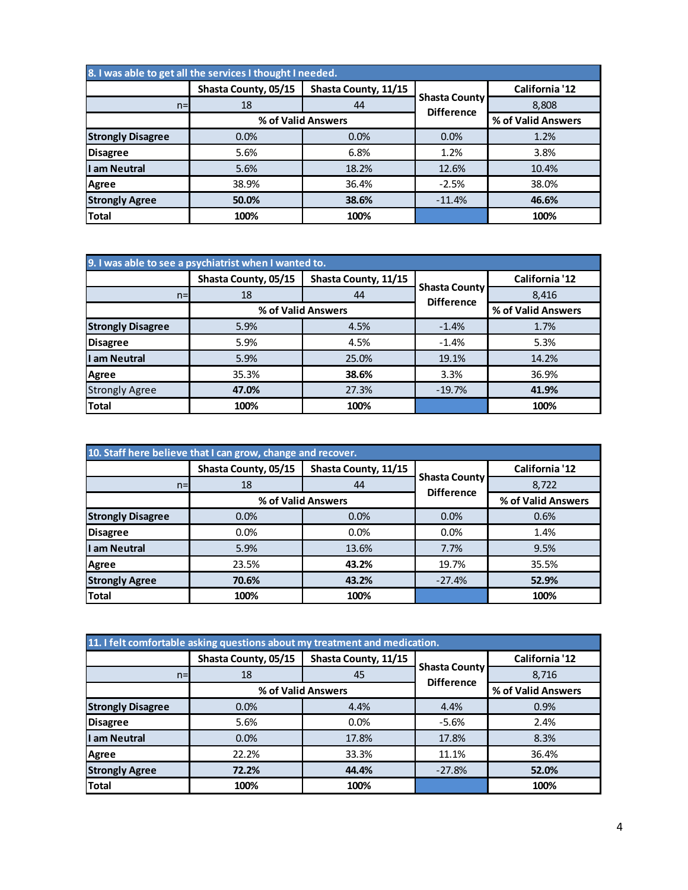| 8. I was able to get all the services I thought I needed. |                      |                      |                                           |                    |  |
|-----------------------------------------------------------|----------------------|----------------------|-------------------------------------------|--------------------|--|
|                                                           | Shasta County, 05/15 | Shasta County, 11/15 |                                           | California '12     |  |
| $n=$                                                      | 18                   | 44                   | <b>Shasta County</b><br><b>Difference</b> | 8,808              |  |
|                                                           |                      | % of Valid Answers   |                                           | % of Valid Answers |  |
| <b>Strongly Disagree</b>                                  | 0.0%                 | 0.0%                 | 0.0%                                      | 1.2%               |  |
| <b>Disagree</b>                                           | 5.6%                 | 6.8%                 | 1.2%                                      | 3.8%               |  |
| I am Neutral                                              | 5.6%                 | 18.2%                | 12.6%                                     | 10.4%              |  |
| <b>Agree</b>                                              | 38.9%                | 36.4%                | $-2.5%$                                   | 38.0%              |  |
| <b>Strongly Agree</b>                                     | 50.0%                | 38.6%                | $-11.4%$                                  | 46.6%              |  |
| <b>Total</b>                                              | 100%                 | 100%                 |                                           | 100%               |  |

| 9. I was able to see a psychiatrist when I wanted to. |                      |                      |                                           |                    |  |
|-------------------------------------------------------|----------------------|----------------------|-------------------------------------------|--------------------|--|
|                                                       | Shasta County, 05/15 | Shasta County, 11/15 | <b>Shasta County</b><br><b>Difference</b> | California '12     |  |
| $n=$                                                  | 18                   | 44                   |                                           | 8,416              |  |
|                                                       |                      | % of Valid Answers   |                                           | % of Valid Answers |  |
| <b>Strongly Disagree</b>                              | 5.9%                 | 4.5%                 | $-1.4%$                                   | 1.7%               |  |
| <b>Disagree</b>                                       | 5.9%                 | 4.5%                 | $-1.4%$                                   | 5.3%               |  |
| I am Neutral                                          | 5.9%                 | 25.0%                | 19.1%                                     | 14.2%              |  |
| <b>Agree</b>                                          | 35.3%                | 38.6%                | 3.3%                                      | 36.9%              |  |
| <b>Strongly Agree</b>                                 | 47.0%                | 27.3%                | $-19.7%$                                  | 41.9%              |  |
| <b>Total</b>                                          | 100%                 | 100%                 |                                           | 100%               |  |

| 10. Staff here believe that I can grow, change and recover. |                      |                      |                                           |                    |  |
|-------------------------------------------------------------|----------------------|----------------------|-------------------------------------------|--------------------|--|
|                                                             | Shasta County, 05/15 | Shasta County, 11/15 |                                           | California '12     |  |
| $n =$                                                       | 18                   | 44                   | <b>Shasta County</b><br><b>Difference</b> | 8,722              |  |
|                                                             |                      | % of Valid Answers   |                                           | % of Valid Answers |  |
| <b>Strongly Disagree</b>                                    | 0.0%                 | 0.0%                 | 0.0%                                      | 0.6%               |  |
| <b>Disagree</b>                                             | 0.0%                 | 0.0%                 | 0.0%                                      | 1.4%               |  |
| I am Neutral                                                | 5.9%                 | 13.6%                | 7.7%                                      | 9.5%               |  |
| Agree                                                       | 23.5%                | 43.2%                | 19.7%                                     | 35.5%              |  |
| <b>Strongly Agree</b>                                       | 70.6%                | 43.2%                | $-27.4%$                                  | 52.9%              |  |
| <b>Total</b>                                                | 100%                 | 100%                 |                                           | 100%               |  |

| 11. I felt comfortable asking questions about my treatment and medication. |                      |                      |                                           |                    |  |
|----------------------------------------------------------------------------|----------------------|----------------------|-------------------------------------------|--------------------|--|
|                                                                            | Shasta County, 05/15 | Shasta County, 11/15 |                                           | California '12     |  |
| $n=$                                                                       | 18                   | 45                   | <b>Shasta County</b><br><b>Difference</b> | 8,716              |  |
|                                                                            |                      | % of Valid Answers   |                                           | % of Valid Answers |  |
| <b>Strongly Disagree</b>                                                   | 0.0%                 | 4.4%                 | 4.4%                                      | 0.9%               |  |
| <b>Disagree</b>                                                            | 5.6%                 | 0.0%                 | $-5.6%$                                   | 2.4%               |  |
| I am Neutral                                                               | 0.0%                 | 17.8%                | 17.8%                                     | 8.3%               |  |
| <b>Agree</b>                                                               | 22.2%                | 33.3%                | 11.1%                                     | 36.4%              |  |
| <b>Strongly Agree</b>                                                      | 72.2%                | 44.4%                | $-27.8%$                                  | 52.0%              |  |
| <b>Total</b>                                                               | 100%                 | 100%                 |                                           | 100%               |  |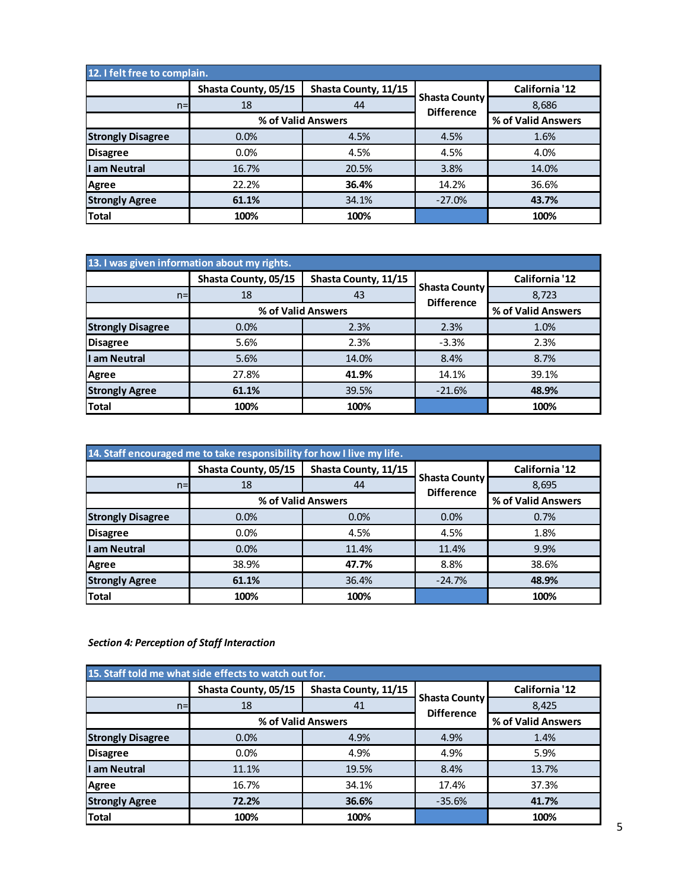| 12. I felt free to complain. |                      |                      |                                           |                    |  |
|------------------------------|----------------------|----------------------|-------------------------------------------|--------------------|--|
|                              | Shasta County, 05/15 | Shasta County, 11/15 |                                           | California '12     |  |
| $n=$                         | 18                   | 44                   | <b>Shasta County</b><br><b>Difference</b> | 8,686              |  |
|                              |                      | % of Valid Answers   |                                           | % of Valid Answers |  |
| <b>Strongly Disagree</b>     | 0.0%                 | 4.5%                 | 4.5%                                      | 1.6%               |  |
| <b>Disagree</b>              | $0.0\%$              | 4.5%                 | 4.5%                                      | 4.0%               |  |
| I am Neutral                 | 16.7%                | 20.5%                | 3.8%                                      | 14.0%              |  |
| Agree                        | 22.2%                | 36.4%                | 14.2%                                     | 36.6%              |  |
| <b>Strongly Agree</b>        | 61.1%                | 34.1%                | $-27.0%$                                  | 43.7%              |  |
| <b>Total</b>                 | 100%                 | 100%                 |                                           | 100%               |  |

| 13. I was given information about my rights. |                      |                      |                                           |                    |  |
|----------------------------------------------|----------------------|----------------------|-------------------------------------------|--------------------|--|
|                                              | Shasta County, 05/15 | Shasta County, 11/15 |                                           | California '12     |  |
| $n=$                                         | 18                   | 43                   | <b>Shasta County</b><br><b>Difference</b> | 8,723              |  |
|                                              | % of Valid Answers   |                      |                                           | % of Valid Answers |  |
| <b>Strongly Disagree</b>                     | 0.0%                 | 2.3%                 | 2.3%                                      | 1.0%               |  |
| <b>Disagree</b>                              | 5.6%                 | 2.3%                 | $-3.3%$                                   | 2.3%               |  |
| I am Neutral                                 | 5.6%                 | 14.0%                | 8.4%                                      | 8.7%               |  |
| <b>Agree</b>                                 | 27.8%                | 41.9%                | 14.1%                                     | 39.1%              |  |
| <b>Strongly Agree</b>                        | 61.1%                | 39.5%                | $-21.6%$                                  | 48.9%              |  |
| <b>Total</b>                                 | 100%                 | 100%                 |                                           | 100%               |  |

| 14. Staff encouraged me to take responsibility for how I live my life. |                      |                      |                                           |                    |  |
|------------------------------------------------------------------------|----------------------|----------------------|-------------------------------------------|--------------------|--|
|                                                                        | Shasta County, 05/15 | Shasta County, 11/15 |                                           | California '12     |  |
| $n=$                                                                   | 18                   | 44                   | <b>Shasta County</b><br><b>Difference</b> | 8,695              |  |
|                                                                        |                      | % of Valid Answers   |                                           | % of Valid Answers |  |
| <b>Strongly Disagree</b>                                               | 0.0%                 | 0.0%                 | 0.0%                                      | 0.7%               |  |
| <b>Disagree</b>                                                        | 0.0%                 | 4.5%                 | 4.5%                                      | 1.8%               |  |
| I am Neutral                                                           | 0.0%                 | 11.4%                | 11.4%                                     | 9.9%               |  |
| Agree                                                                  | 38.9%                | 47.7%                | 8.8%                                      | 38.6%              |  |
| <b>Strongly Agree</b>                                                  | 61.1%                | 36.4%                | $-24.7%$                                  | 48.9%              |  |
| <b>Total</b>                                                           | 100%                 | 100%                 |                                           | 100%               |  |

## *Section 4: Perception of Staff Interaction*

| 15. Staff told me what side effects to watch out for. |                      |                      |                      |                    |  |
|-------------------------------------------------------|----------------------|----------------------|----------------------|--------------------|--|
|                                                       | Shasta County, 05/15 | Shasta County, 11/15 | <b>Shasta County</b> | California '12     |  |
| $n=$                                                  | 18                   | 41                   |                      | 8,425              |  |
|                                                       |                      | % of Valid Answers   | <b>Difference</b>    | % of Valid Answers |  |
| <b>Strongly Disagree</b>                              | 0.0%                 | 4.9%                 | 4.9%                 | 1.4%               |  |
| <b>Disagree</b>                                       | $0.0\%$              | 4.9%                 | 4.9%                 | 5.9%               |  |
| I am Neutral                                          | 11.1%                | 19.5%                | 8.4%                 | 13.7%              |  |
| Agree                                                 | 16.7%                | 34.1%                | 17.4%                | 37.3%              |  |
| <b>Strongly Agree</b>                                 | 72.2%                | 36.6%                | $-35.6%$             | 41.7%              |  |
| <b>Total</b>                                          | 100%                 | 100%                 |                      | 100%               |  |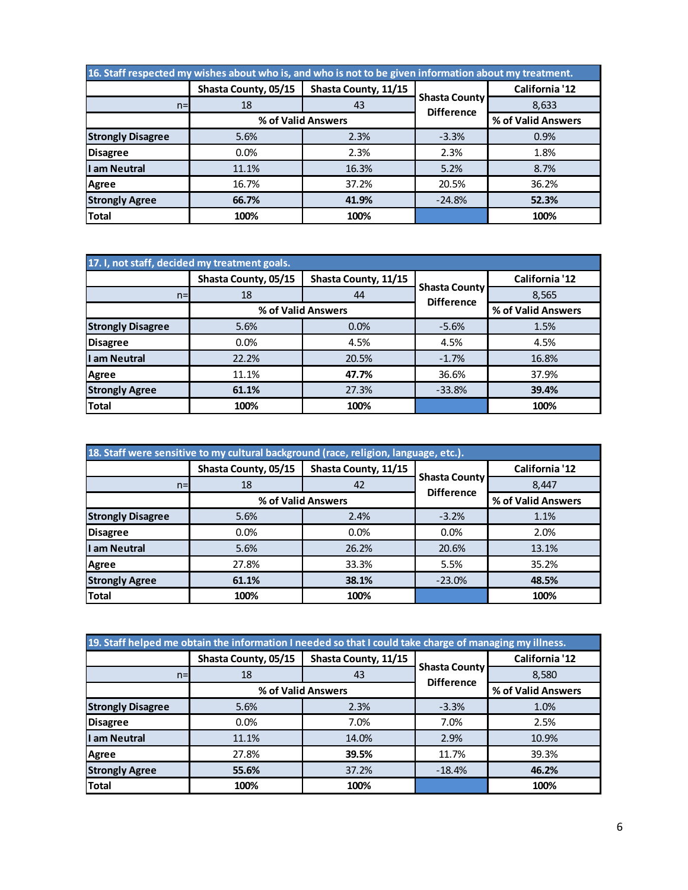| 16. Staff respected my wishes about who is, and who is not to be given information about my treatment. |                      |                      |                                           |                    |  |
|--------------------------------------------------------------------------------------------------------|----------------------|----------------------|-------------------------------------------|--------------------|--|
|                                                                                                        | Shasta County, 05/15 | Shasta County, 11/15 |                                           | California '12     |  |
| $n=$                                                                                                   | 18                   | 43                   | <b>Shasta County</b><br><b>Difference</b> | 8,633              |  |
|                                                                                                        | % of Valid Answers   |                      |                                           | % of Valid Answers |  |
| <b>Strongly Disagree</b>                                                                               | 5.6%                 | 2.3%                 | $-3.3%$                                   | 0.9%               |  |
| <b>Disagree</b>                                                                                        | 0.0%                 | 2.3%                 | 2.3%                                      | 1.8%               |  |
| I am Neutral                                                                                           | 11.1%                | 16.3%                | 5.2%                                      | 8.7%               |  |
| Agree                                                                                                  | 16.7%                | 37.2%                | 20.5%                                     | 36.2%              |  |
| <b>Strongly Agree</b>                                                                                  | 66.7%                | 41.9%                | $-24.8%$                                  | 52.3%              |  |
| <b>Total</b>                                                                                           | 100%                 | 100%                 |                                           | 100%               |  |

| 17. I, not staff, decided my treatment goals. |                      |                      |                                           |                    |  |
|-----------------------------------------------|----------------------|----------------------|-------------------------------------------|--------------------|--|
|                                               | Shasta County, 05/15 | Shasta County, 11/15 |                                           | California '12     |  |
| $n =$                                         | 18                   | 44                   | <b>Shasta County</b><br><b>Difference</b> | 8,565              |  |
|                                               |                      | % of Valid Answers   |                                           | % of Valid Answers |  |
| <b>Strongly Disagree</b>                      | 5.6%                 | 0.0%                 | $-5.6%$                                   | 1.5%               |  |
| <b>Disagree</b>                               | 0.0%                 | 4.5%                 | 4.5%                                      | 4.5%               |  |
| I am Neutral                                  | 22.2%                | 20.5%                | $-1.7%$                                   | 16.8%              |  |
| Agree                                         | 11.1%                | 47.7%                | 36.6%                                     | 37.9%              |  |
| <b>Strongly Agree</b>                         | 61.1%                | 27.3%                | $-33.8%$                                  | 39.4%              |  |
| <b>Total</b>                                  | 100%                 | 100%                 |                                           | 100%               |  |

| 18. Staff were sensitive to my cultural background (race, religion, language, etc.). |                      |                      |                                           |                    |  |
|--------------------------------------------------------------------------------------|----------------------|----------------------|-------------------------------------------|--------------------|--|
|                                                                                      | Shasta County, 05/15 | Shasta County, 11/15 |                                           | California '12     |  |
| $n=$                                                                                 | 18                   | 42                   | <b>Shasta County</b><br><b>Difference</b> | 8.447              |  |
|                                                                                      |                      | % of Valid Answers   |                                           | % of Valid Answers |  |
| <b>Strongly Disagree</b>                                                             | 5.6%                 | 2.4%                 | $-3.2%$                                   | 1.1%               |  |
| <b>Disagree</b>                                                                      | 0.0%                 | 0.0%                 | 0.0%                                      | 2.0%               |  |
| I am Neutral                                                                         | 5.6%                 | 26.2%                | 20.6%                                     | 13.1%              |  |
| <b>Agree</b>                                                                         | 27.8%                | 33.3%                | 5.5%                                      | 35.2%              |  |
| <b>Strongly Agree</b>                                                                | 61.1%                | 38.1%                | $-23.0%$                                  | 48.5%              |  |
| <b>Total</b>                                                                         | 100%                 | 100%                 |                                           | 100%               |  |

| 19. Staff helped me obtain the information I needed so that I could take charge of managing my illness. |                      |                      |                                           |                    |  |
|---------------------------------------------------------------------------------------------------------|----------------------|----------------------|-------------------------------------------|--------------------|--|
|                                                                                                         | Shasta County, 05/15 | Shasta County, 11/15 |                                           | California '12     |  |
| $n=1$                                                                                                   | 18                   | 43                   | <b>Shasta County</b><br><b>Difference</b> | 8,580              |  |
|                                                                                                         |                      | % of Valid Answers   |                                           | % of Valid Answers |  |
| <b>Strongly Disagree</b>                                                                                | 5.6%                 | 2.3%                 | $-3.3%$                                   | 1.0%               |  |
| <b>Disagree</b>                                                                                         | 0.0%                 | 7.0%                 | 7.0%                                      | 2.5%               |  |
| I am Neutral                                                                                            | 11.1%                | 14.0%                | 2.9%                                      | 10.9%              |  |
| <b>Agree</b>                                                                                            | 27.8%                | 39.5%                | 11.7%                                     | 39.3%              |  |
| <b>Strongly Agree</b>                                                                                   | 55.6%                | 37.2%                | $-18.4%$                                  | 46.2%              |  |
| <b>Total</b>                                                                                            | 100%                 | 100%                 |                                           | 100%               |  |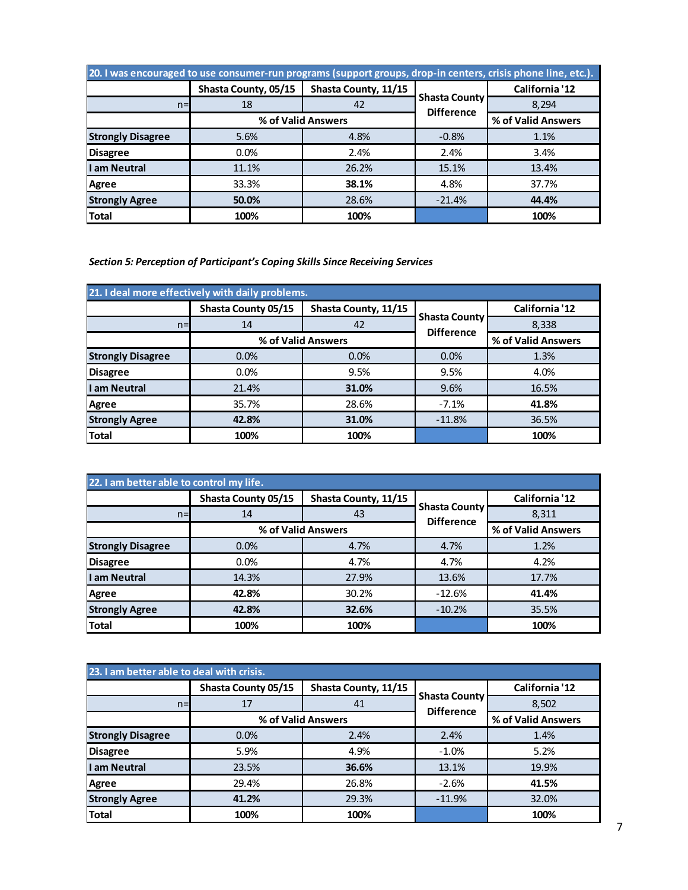| 20. I was encouraged to use consumer-run programs (support groups, drop-in centers, crisis phone line, etc.). |                      |                      |                                           |                    |  |
|---------------------------------------------------------------------------------------------------------------|----------------------|----------------------|-------------------------------------------|--------------------|--|
|                                                                                                               | Shasta County, 05/15 | Shasta County, 11/15 |                                           | California '12     |  |
| $n=$                                                                                                          | 18                   | 42                   | <b>Shasta County</b><br><b>Difference</b> | 8.294              |  |
|                                                                                                               |                      | % of Valid Answers   |                                           | % of Valid Answers |  |
| <b>Strongly Disagree</b>                                                                                      | 5.6%                 | 4.8%                 | $-0.8%$                                   | 1.1%               |  |
| <b>Disagree</b>                                                                                               | $0.0\%$              | 2.4%                 | 2.4%                                      | 3.4%               |  |
| I am Neutral                                                                                                  | 11.1%                | 26.2%                | 15.1%                                     | 13.4%              |  |
| Agree                                                                                                         | 33.3%                | 38.1%                | 4.8%                                      | 37.7%              |  |
| <b>Strongly Agree</b>                                                                                         | 50.0%                | 28.6%                | $-21.4%$                                  | 44.4%              |  |
| <b>Total</b>                                                                                                  | 100%                 | 100%                 |                                           | 100%               |  |

*Section 5: Perception of Participant's Coping Skills Since Receiving Services*

| 21. I deal more effectively with daily problems. |                     |                      |                                           |                    |  |
|--------------------------------------------------|---------------------|----------------------|-------------------------------------------|--------------------|--|
|                                                  | Shasta County 05/15 | Shasta County, 11/15 |                                           | California '12     |  |
| $n=$                                             | 14                  | 42                   | <b>Shasta County</b><br><b>Difference</b> | 8,338              |  |
|                                                  |                     | % of Valid Answers   |                                           | % of Valid Answers |  |
| <b>Strongly Disagree</b>                         | 0.0%                | 0.0%                 | 0.0%                                      | 1.3%               |  |
| <b>Disagree</b>                                  | 0.0%                | 9.5%                 | 9.5%                                      | 4.0%               |  |
| am Neutral                                       | 21.4%               | 31.0%                | 9.6%                                      | 16.5%              |  |
| Agree                                            | 35.7%               | 28.6%                | $-7.1%$                                   | 41.8%              |  |
| <b>Strongly Agree</b>                            | 42.8%               | 31.0%                | $-11.8%$                                  | 36.5%              |  |
| Total                                            | 100%                | 100%                 |                                           | 100%               |  |

| 22. I am better able to control my life. |                     |                      |                                           |                    |  |
|------------------------------------------|---------------------|----------------------|-------------------------------------------|--------------------|--|
|                                          | Shasta County 05/15 | Shasta County, 11/15 |                                           | California '12     |  |
| $n=$                                     | 14                  | 43                   | <b>Shasta County</b><br><b>Difference</b> | 8,311              |  |
|                                          |                     | % of Valid Answers   |                                           | % of Valid Answers |  |
| <b>Strongly Disagree</b>                 | 0.0%                | 4.7%                 | 4.7%                                      | 1.2%               |  |
| <b>Disagree</b>                          | 0.0%                | 4.7%                 | 4.7%                                      | 4.2%               |  |
| am Neutral                               | 14.3%               | 27.9%                | 13.6%                                     | 17.7%              |  |
| Agree                                    | 42.8%               | 30.2%                | $-12.6%$                                  | 41.4%              |  |
| <b>Strongly Agree</b>                    | 42.8%               | 32.6%                | $-10.2%$                                  | 35.5%              |  |
| <b>Total</b>                             | 100%                | 100%                 |                                           | 100%               |  |

| 23. I am better able to deal with crisis. |                     |                      |                                           |                    |  |
|-------------------------------------------|---------------------|----------------------|-------------------------------------------|--------------------|--|
|                                           | Shasta County 05/15 | Shasta County, 11/15 |                                           | California '12     |  |
| $n=$                                      | 17                  | 41                   | <b>Shasta County</b><br><b>Difference</b> | 8,502              |  |
|                                           |                     | % of Valid Answers   |                                           | % of Valid Answers |  |
| <b>Strongly Disagree</b>                  | 0.0%                | 2.4%                 | 2.4%                                      | 1.4%               |  |
| <b>Disagree</b>                           | 5.9%                | 4.9%                 | $-1.0%$                                   | 5.2%               |  |
| I am Neutral                              | 23.5%               | 36.6%                | 13.1%                                     | 19.9%              |  |
| <b>Agree</b>                              | 29.4%               | 26.8%                | $-2.6%$                                   | 41.5%              |  |
| <b>Strongly Agree</b>                     | 41.2%               | 29.3%                | $-11.9%$                                  | 32.0%              |  |
| <b>Total</b>                              | 100%                | 100%                 |                                           | 100%               |  |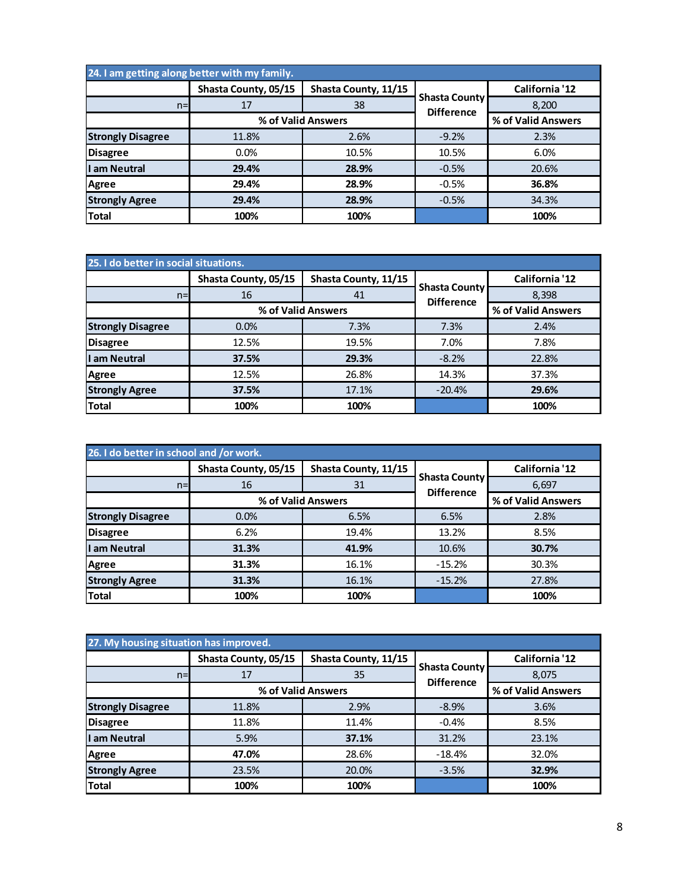| 24. I am getting along better with my family. |                      |                      |                                           |                    |  |
|-----------------------------------------------|----------------------|----------------------|-------------------------------------------|--------------------|--|
|                                               | Shasta County, 05/15 | Shasta County, 11/15 |                                           | California '12     |  |
| $n=$                                          | 17                   | 38                   | <b>Shasta County</b><br><b>Difference</b> | 8,200              |  |
|                                               |                      | % of Valid Answers   |                                           | % of Valid Answers |  |
| <b>Strongly Disagree</b>                      | 11.8%                | 2.6%                 | $-9.2%$                                   | 2.3%               |  |
| <b>Disagree</b>                               | 0.0%                 | 10.5%                | 10.5%                                     | 6.0%               |  |
| I am Neutral                                  | 29.4%                | 28.9%                | $-0.5%$                                   | 20.6%              |  |
| <b>Agree</b>                                  | 29.4%                | 28.9%                | $-0.5%$                                   | 36.8%              |  |
| <b>Strongly Agree</b>                         | 29.4%                | 28.9%                | $-0.5%$                                   | 34.3%              |  |
| <b>Total</b>                                  | 100%                 | 100%                 |                                           | 100%               |  |

| 25. I do better in social situations. |                      |                      |                                           |                    |
|---------------------------------------|----------------------|----------------------|-------------------------------------------|--------------------|
|                                       | Shasta County, 05/15 | Shasta County, 11/15 |                                           | California '12     |
| $n=$                                  | 16                   | 41                   | <b>Shasta County</b><br><b>Difference</b> | 8,398              |
|                                       |                      | % of Valid Answers   |                                           | % of Valid Answers |
| <b>Strongly Disagree</b>              | 0.0%                 | 7.3%                 | 7.3%                                      | 2.4%               |
| <b>Disagree</b>                       | 12.5%                | 19.5%                | 7.0%                                      | 7.8%               |
| I am Neutral                          | 37.5%                | 29.3%                | $-8.2%$                                   | 22.8%              |
| <b>Agree</b>                          | 12.5%                | 26.8%                | 14.3%                                     | 37.3%              |
| <b>Strongly Agree</b>                 | 37.5%                | 17.1%                | $-20.4%$                                  | 29.6%              |
| <b>Total</b>                          | 100%                 | 100%                 |                                           | 100%               |

| 26. I do better in school and /or work. |                      |                      |                                           |                    |
|-----------------------------------------|----------------------|----------------------|-------------------------------------------|--------------------|
|                                         | Shasta County, 05/15 | Shasta County, 11/15 |                                           | California '12     |
| $n=$                                    | 16                   | 31                   | <b>Shasta County</b><br><b>Difference</b> | 6,697              |
|                                         |                      | % of Valid Answers   |                                           | % of Valid Answers |
| <b>Strongly Disagree</b>                | 0.0%                 | 6.5%                 | 6.5%                                      | 2.8%               |
| <b>Disagree</b>                         | 6.2%                 | 19.4%                | 13.2%                                     | 8.5%               |
| I am Neutral                            | 31.3%                | 41.9%                | 10.6%                                     | 30.7%              |
| Agree                                   | 31.3%                | 16.1%                | $-15.2%$                                  | 30.3%              |
| <b>Strongly Agree</b>                   | 31.3%                | 16.1%                | $-15.2%$                                  | 27.8%              |
| <b>Total</b>                            | 100%                 | 100%                 |                                           | 100%               |

| 27. My housing situation has improved. |                      |                      |                                           |                    |
|----------------------------------------|----------------------|----------------------|-------------------------------------------|--------------------|
|                                        | Shasta County, 05/15 | Shasta County, 11/15 |                                           | California '12     |
| $n=$                                   | 17                   | 35                   | <b>Shasta County</b><br><b>Difference</b> | 8,075              |
|                                        |                      | % of Valid Answers   |                                           | % of Valid Answers |
| <b>Strongly Disagree</b>               | 11.8%                | 2.9%                 | $-8.9%$                                   | 3.6%               |
| <b>Disagree</b>                        | 11.8%                | 11.4%                | $-0.4%$                                   | 8.5%               |
| I am Neutral                           | 5.9%                 | 37.1%                | 31.2%                                     | 23.1%              |
| <b>Agree</b>                           | 47.0%                | 28.6%                | $-18.4%$                                  | 32.0%              |
| <b>Strongly Agree</b>                  | 23.5%                | 20.0%                | $-3.5%$                                   | 32.9%              |
| <b>Total</b>                           | 100%                 | 100%                 |                                           | 100%               |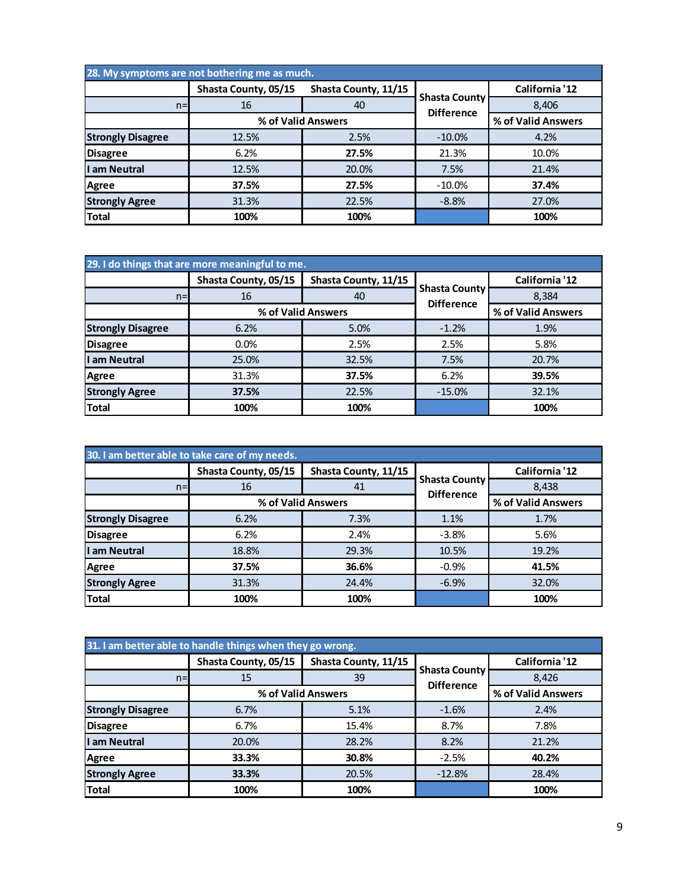| 28. My symptoms are not bothering me as much. |                      |                      |                                           |                    |  |
|-----------------------------------------------|----------------------|----------------------|-------------------------------------------|--------------------|--|
|                                               | Shasta County, 05/15 | Shasta County, 11/15 |                                           | California '12     |  |
| $n=$                                          | 16                   | 40                   | <b>Shasta County</b><br><b>Difference</b> | 8,406              |  |
|                                               | % of Valid Answers   |                      |                                           | % of Valid Answers |  |
| <b>Strongly Disagree</b>                      | 12.5%                | 2.5%                 | $-10.0\%$                                 | 4.2%               |  |
| <b>Disagree</b>                               | 6.2%                 | 27.5%                | 21.3%                                     | 10.0%              |  |
| I am Neutral                                  | 12.5%                | 20.0%                | 7.5%                                      | 21.4%              |  |
| Agree                                         | 37.5%                | 27.5%                | $-10.0\%$                                 | 37.4%              |  |
| <b>Strongly Agree</b>                         | 31.3%                | 22.5%                | $-8.8%$                                   | 27.0%              |  |
| <b>Total</b>                                  | 100%                 | 100%                 |                                           | 100%               |  |

|                          | 29. I do things that are more meaningful to me. |                      |                                           |                    |  |
|--------------------------|-------------------------------------------------|----------------------|-------------------------------------------|--------------------|--|
|                          | Shasta County, 05/15                            | Shasta County, 11/15 |                                           | California '12     |  |
| $n=$                     | 16                                              | 40                   | <b>Shasta County</b><br><b>Difference</b> | 8,384              |  |
|                          |                                                 | % of Valid Answers   |                                           | % of Valid Answers |  |
| <b>Strongly Disagree</b> | 6.2%                                            | 5.0%                 | $-1.2%$                                   | 1.9%               |  |
| <b>Disagree</b>          | 0.0%                                            | 2.5%                 | 2.5%                                      | 5.8%               |  |
| I am Neutral             | 25.0%                                           | 32.5%                | 7.5%                                      | 20.7%              |  |
| <b>Agree</b>             | 31.3%                                           | 37.5%                | 6.2%                                      | 39.5%              |  |
| <b>Strongly Agree</b>    | 37.5%                                           | 22.5%                | $-15.0%$                                  | 32.1%              |  |
| <b>Total</b>             | 100%                                            | 100%                 |                                           | 100%               |  |

|                          | 30. I am better able to take care of my needs. |                      |                                           |                    |  |
|--------------------------|------------------------------------------------|----------------------|-------------------------------------------|--------------------|--|
|                          | Shasta County, 05/15                           | Shasta County, 11/15 |                                           | California '12     |  |
| $n=$                     | 16                                             | 41                   | <b>Shasta County</b><br><b>Difference</b> | 8,438              |  |
|                          |                                                | % of Valid Answers   |                                           | % of Valid Answers |  |
| <b>Strongly Disagree</b> | 6.2%                                           | 7.3%                 | 1.1%                                      | 1.7%               |  |
| <b>Disagree</b>          | 6.2%                                           | 2.4%                 | $-3.8%$                                   | 5.6%               |  |
| I am Neutral             | 18.8%                                          | 29.3%                | 10.5%                                     | 19.2%              |  |
| <b>Agree</b>             | 37.5%                                          | 36.6%                | $-0.9%$                                   | 41.5%              |  |
| <b>Strongly Agree</b>    | 31.3%                                          | 24.4%                | $-6.9%$                                   | 32.0%              |  |
| <b>Total</b>             | 100%                                           | 100%                 |                                           | 100%               |  |

|                          | 31. I am better able to handle things when they go wrong. |                      |                                           |                    |  |
|--------------------------|-----------------------------------------------------------|----------------------|-------------------------------------------|--------------------|--|
|                          | Shasta County, 05/15                                      | Shasta County, 11/15 |                                           | California '12     |  |
| $n=$                     | 15                                                        | 39                   | <b>Shasta County</b><br><b>Difference</b> | 8,426              |  |
|                          | % of Valid Answers                                        |                      |                                           | % of Valid Answers |  |
| <b>Strongly Disagree</b> | 6.7%                                                      | 5.1%                 | $-1.6%$                                   | 2.4%               |  |
| <b>Disagree</b>          | 6.7%                                                      | 15.4%                | 8.7%                                      | 7.8%               |  |
| I am Neutral             | 20.0%                                                     | 28.2%                | 8.2%                                      | 21.2%              |  |
| <b>Agree</b>             | 33.3%                                                     | 30.8%                | $-2.5%$                                   | 40.2%              |  |
| <b>Strongly Agree</b>    | 33.3%                                                     | 20.5%                | $-12.8%$                                  | 28.4%              |  |
| <b>Total</b>             | 100%                                                      | 100%                 |                                           | 100%               |  |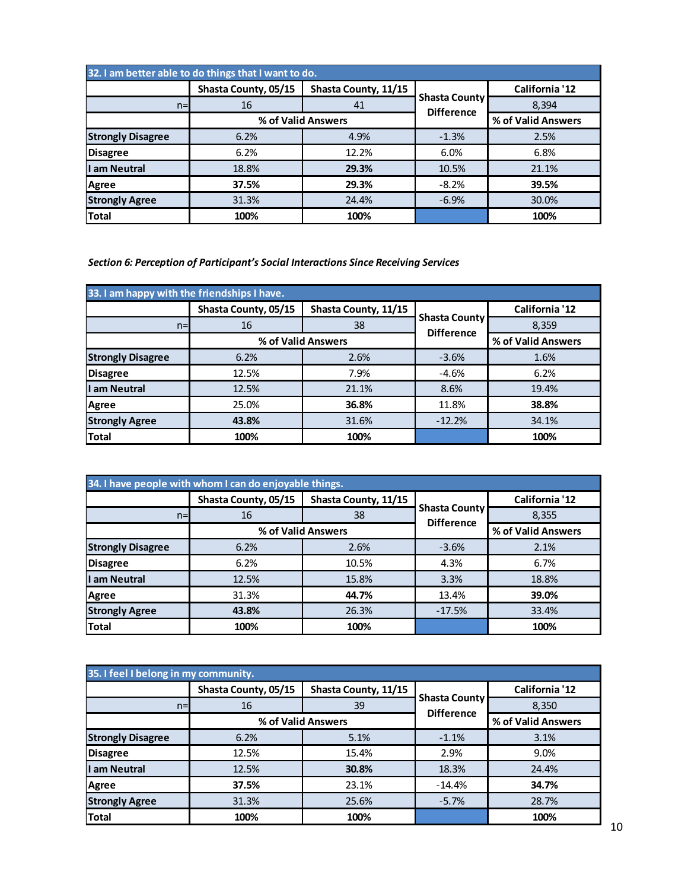| 32. I am better able to do things that I want to do. |                      |                      |                                           |                    |
|------------------------------------------------------|----------------------|----------------------|-------------------------------------------|--------------------|
|                                                      | Shasta County, 05/15 | Shasta County, 11/15 |                                           | California '12     |
| $n=$                                                 | 16                   | 41                   | <b>Shasta County</b><br><b>Difference</b> | 8.394              |
|                                                      | % of Valid Answers   |                      |                                           | % of Valid Answers |
| <b>Strongly Disagree</b>                             | 6.2%                 | 4.9%                 | $-1.3%$                                   | 2.5%               |
| <b>Disagree</b>                                      | 6.2%                 | 12.2%                | 6.0%                                      | 6.8%               |
| I am Neutral                                         | 18.8%                | 29.3%                | 10.5%                                     | 21.1%              |
| <b>Agree</b>                                         | 37.5%                | 29.3%                | $-8.2%$                                   | 39.5%              |
| <b>Strongly Agree</b>                                | 31.3%                | 24.4%                | $-6.9%$                                   | 30.0%              |
| <b>Total</b>                                         | 100%                 | 100%                 |                                           | 100%               |

*Section 6: Perception of Participant's Social Interactions Since Receiving Services*

| 33. I am happy with the friendships I have. |                      |                      |                                           |                    |
|---------------------------------------------|----------------------|----------------------|-------------------------------------------|--------------------|
|                                             | Shasta County, 05/15 | Shasta County, 11/15 |                                           | California '12     |
| $n=$                                        | 16                   | 38                   | <b>Shasta County</b><br><b>Difference</b> | 8,359              |
|                                             |                      | % of Valid Answers   |                                           | % of Valid Answers |
| <b>Strongly Disagree</b>                    | 6.2%                 | 2.6%                 | $-3.6%$                                   | 1.6%               |
| <b>Disagree</b>                             | 12.5%                | 7.9%                 | $-4.6%$                                   | 6.2%               |
| I am Neutral                                | 12.5%                | 21.1%                | 8.6%                                      | 19.4%              |
| <b>Agree</b>                                | 25.0%                | 36.8%                | 11.8%                                     | 38.8%              |
| <b>Strongly Agree</b>                       | 43.8%                | 31.6%                | $-12.2%$                                  | 34.1%              |
| <b>Total</b>                                | 100%                 | 100%                 |                                           | 100%               |

|                          | 34. I have people with whom I can do enjoyable things. |                      |                                           |                    |
|--------------------------|--------------------------------------------------------|----------------------|-------------------------------------------|--------------------|
|                          | Shasta County, 05/15                                   | Shasta County, 11/15 |                                           | California '12     |
| $n=$                     | 16                                                     | 38                   | <b>Shasta County</b><br><b>Difference</b> | 8,355              |
|                          |                                                        | % of Valid Answers   |                                           | % of Valid Answers |
| <b>Strongly Disagree</b> | 6.2%                                                   | 2.6%                 | $-3.6%$                                   | 2.1%               |
| <b>Disagree</b>          | 6.2%                                                   | 10.5%                | 4.3%                                      | 6.7%               |
| I am Neutral             | 12.5%                                                  | 15.8%                | 3.3%                                      | 18.8%              |
| Agree                    | 31.3%                                                  | 44.7%                | 13.4%                                     | 39.0%              |
| <b>Strongly Agree</b>    | 43.8%                                                  | 26.3%                | $-17.5%$                                  | 33.4%              |
| <b>Total</b>             | 100%                                                   | 100%                 |                                           | 100%               |

| 35. I feel I belong in my community. |                      |                      |                                           |                    |
|--------------------------------------|----------------------|----------------------|-------------------------------------------|--------------------|
|                                      | Shasta County, 05/15 | Shasta County, 11/15 |                                           | California '12     |
| $n=$                                 | 16                   | 39                   | <b>Shasta County</b><br><b>Difference</b> | 8,350              |
|                                      | % of Valid Answers   |                      |                                           | % of Valid Answers |
| <b>Strongly Disagree</b>             | 6.2%                 | 5.1%                 | $-1.1%$                                   | 3.1%               |
| <b>Disagree</b>                      | 12.5%                | 15.4%                | 2.9%                                      | 9.0%               |
| I am Neutral                         | 12.5%                | 30.8%                | 18.3%                                     | 24.4%              |
| Agree                                | 37.5%                | 23.1%                | $-14.4%$                                  | 34.7%              |
| <b>Strongly Agree</b>                | 31.3%                | 25.6%                | $-5.7%$                                   | 28.7%              |
| <b>Total</b>                         | 100%                 | 100%                 |                                           | 100%               |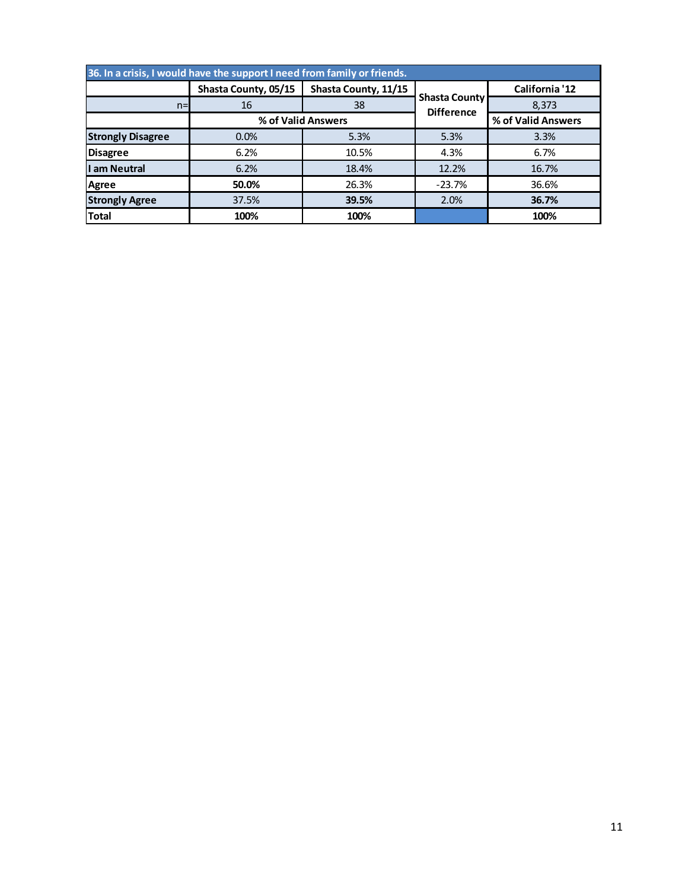| Shasta County, 05/15<br>Shasta County, 11/15<br>California '12<br><b>Shasta County</b><br>16<br>38<br>8,373<br>$n=$<br><b>Difference</b><br>% of Valid Answers<br>% of Valid Answers<br>5.3%<br>0.0%<br>5.3%<br>3.3%<br>6.2%<br>4.3%<br>6.7%<br><b>Disagree</b><br>10.5%<br>I am Neutral<br>6.2%<br>12.2%<br>18.4%<br>16.7%<br>50.0%<br>26.3%<br>$-23.7%$<br>36.6%<br><b>Agree</b><br><b>Strongly Agree</b><br>37.5%<br>2.0%<br>39.5%<br>36.7%<br><b>Total</b><br>100%<br>100%<br>100% |                          | 36. In a crisis, I would have the support I need from family or friends. |  |  |
|----------------------------------------------------------------------------------------------------------------------------------------------------------------------------------------------------------------------------------------------------------------------------------------------------------------------------------------------------------------------------------------------------------------------------------------------------------------------------------------|--------------------------|--------------------------------------------------------------------------|--|--|
|                                                                                                                                                                                                                                                                                                                                                                                                                                                                                        |                          |                                                                          |  |  |
|                                                                                                                                                                                                                                                                                                                                                                                                                                                                                        |                          |                                                                          |  |  |
|                                                                                                                                                                                                                                                                                                                                                                                                                                                                                        |                          |                                                                          |  |  |
|                                                                                                                                                                                                                                                                                                                                                                                                                                                                                        | <b>Strongly Disagree</b> |                                                                          |  |  |
|                                                                                                                                                                                                                                                                                                                                                                                                                                                                                        |                          |                                                                          |  |  |
|                                                                                                                                                                                                                                                                                                                                                                                                                                                                                        |                          |                                                                          |  |  |
|                                                                                                                                                                                                                                                                                                                                                                                                                                                                                        |                          |                                                                          |  |  |
|                                                                                                                                                                                                                                                                                                                                                                                                                                                                                        |                          |                                                                          |  |  |
|                                                                                                                                                                                                                                                                                                                                                                                                                                                                                        |                          |                                                                          |  |  |
|                                                                                                                                                                                                                                                                                                                                                                                                                                                                                        |                          |                                                                          |  |  |
|                                                                                                                                                                                                                                                                                                                                                                                                                                                                                        |                          |                                                                          |  |  |